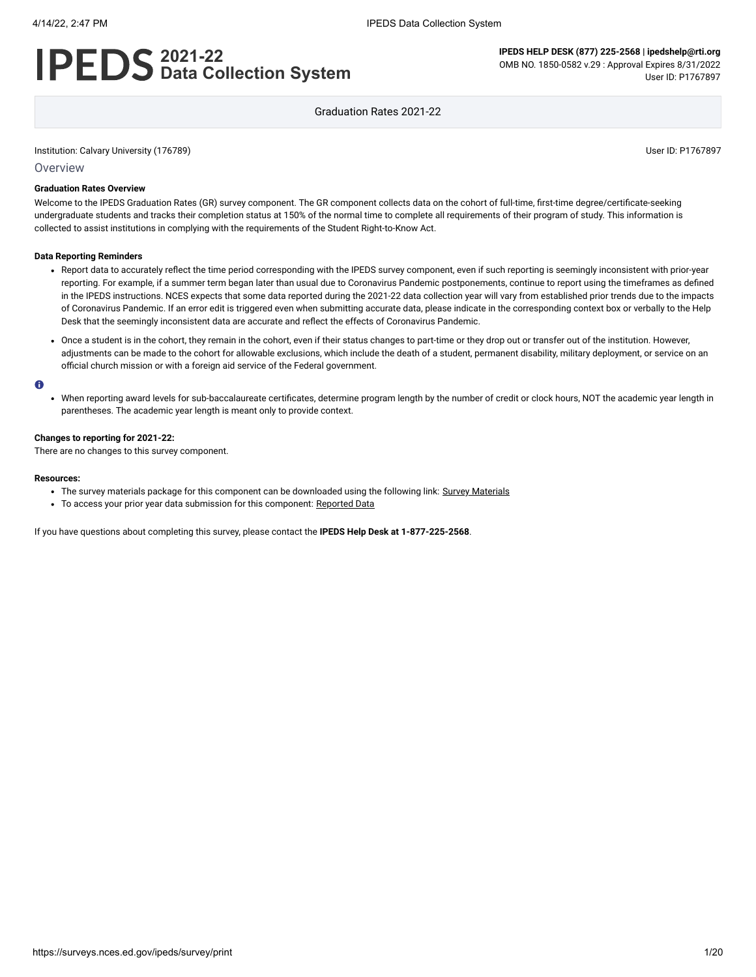# **2021-22 Data Collection System**

**IPEDS HELP DESK (877) 225-2568 | ipedshelp@rti.org** OMB NO. 1850-0582 v.29 : Approval Expires 8/31/2022 User ID: P1767897

Graduation Rates 2021-22

Institution: Calvary University (176789) User ID: P1767897

**Overview** 

#### **Graduation Rates Overview**

Welcome to the IPEDS Graduation Rates (GR) survey component. The GR component collects data on the cohort of full-time, first-time degree/certificate-seeking undergraduate students and tracks their completion status at 150% of the normal time to complete all requirements of their program of study. This information is collected to assist institutions in complying with the requirements of the Student Right-to-Know Act.

#### **Data Reporting Reminders**

- Report data to accurately reflect the time period corresponding with the IPEDS survey component, even if such reporting is seemingly inconsistent with prior-year reporting. For example, if a summer term began later than usual due to Coronavirus Pandemic postponements, continue to report using the timeframes as defined in the IPEDS instructions. NCES expects that some data reported during the 2021-22 data collection year will vary from established prior trends due to the impacts of Coronavirus Pandemic. If an error edit is triggered even when submitting accurate data, please indicate in the corresponding context box or verbally to the Help Desk that the seemingly inconsistent data are accurate and reflect the effects of Coronavirus Pandemic.
- Once a student is in the cohort, they remain in the cohort, even if their status changes to part-time or they drop out or transfer out of the institution. However, adjustments can be made to the cohort for allowable exclusions, which include the death of a student, permanent disability, military deployment, or service on an official church mission or with a foreign aid service of the Federal government.

#### $\bullet$

When reporting award levels for sub-baccalaureate certificates, determine program length by the number of credit or clock hours, NOT the academic year length in parentheses. The academic year length is meant only to provide context.

#### **Changes to reporting for 2021-22:**

There are no changes to this survey component.

#### **Resources:**

- The survey materials package for this component can be downloaded using the following link: Survey [Materials](https://surveys.nces.ed.gov/ipeds/public/survey-materials/index)
- To access your prior year data submission for this component: [Reported Data](javascript:openReportedData(176789, 4))

If you have questions about completing this survey, please contact the **IPEDS Help Desk at 1-877-225-2568**.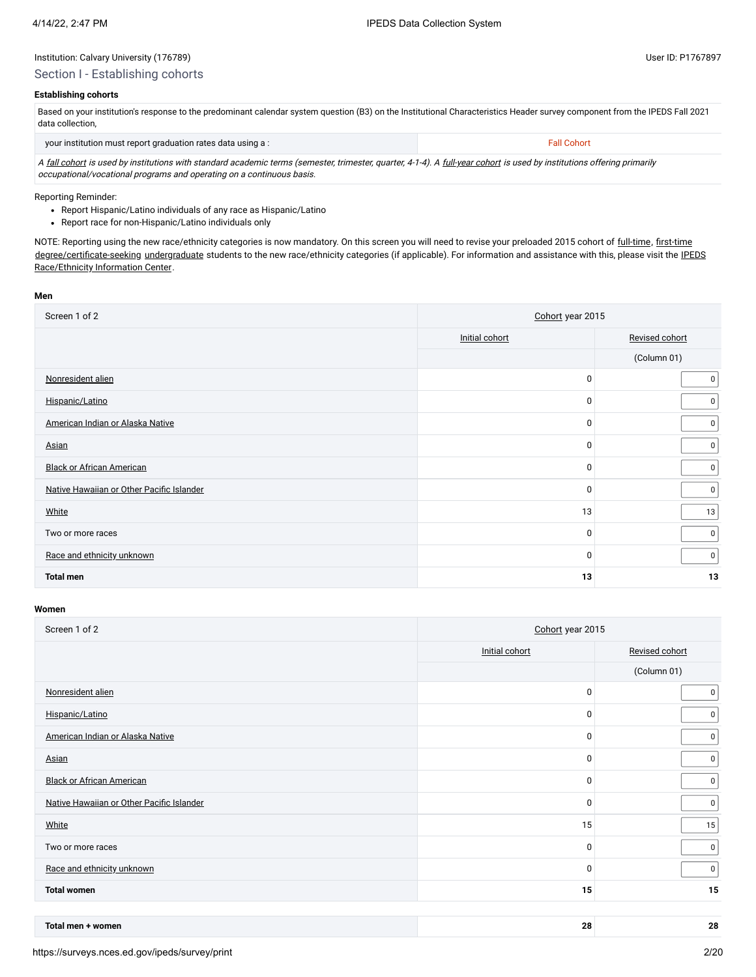### Section I - Establishing cohorts

## **Establishing cohorts**

Based on your institution's response to the predominant calendar system question (B3) on the Institutional Characteristics Header survey component from the IPEDS Fall 2021 data collection,

| your institution must report graduation rates data using a :                                                                                                            | Fall Cohort |
|-------------------------------------------------------------------------------------------------------------------------------------------------------------------------|-------------|
| A fall cohort is used by institutions with standard academic terms (semester, trimester, quarter, 4-1-4). A full-year cohort is used by institutions offering primarily |             |

occupational/vocational programs and operating on a continuous basis.

Reporting Reminder:

- Report Hispanic/Latino individuals of any race as Hispanic/Latino
- Report race for non-Hispanic/Latino individuals only

NOTE: Reporting using the new race/ethnicity categories is now mandatory. On this screen you will need to revise your preloaded 2015 cohort of [full-time](javascript:openglossary(259)), [first-time](javascript:openglossary(241)) [degree/certificate-seeking](javascript:openglossary(171)) [undergraduate](javascript:openglossary(677)) students to the new race/ethnicity categories (if applicable). For [information and assistance with](https://nces.ed.gov/ipeds/report-your-data/resource-center-race-ethnicity) this, please visit the IPEDS Race/Ethnicity Information Center.

#### **Men**

| Screen 1 of 2                             | Cohort year 2015 |                  |  |
|-------------------------------------------|------------------|------------------|--|
|                                           | Initial cohort   | Revised cohort   |  |
|                                           |                  | (Column 01)      |  |
| Nonresident alien                         | 0                | $\mathbf 0$      |  |
| Hispanic/Latino                           | 0                | $\mathbf 0$      |  |
| American Indian or Alaska Native          | 0                | $\boldsymbol{0}$ |  |
| Asian                                     | 0                | $\mathbf 0$      |  |
| <b>Black or African American</b>          | $\mathbf 0$      | $\mathbf 0$      |  |
| Native Hawaiian or Other Pacific Islander | 0                | $\overline{0}$   |  |
| White                                     | 13               | 13               |  |
| Two or more races                         | 0                | $\mathbf 0$      |  |
| Race and ethnicity unknown                | 0                | $\overline{0}$   |  |
| <b>Total men</b>                          | 13               | 13               |  |

| Screen 1 of 2                             | Cohort year 2015 |                |  |
|-------------------------------------------|------------------|----------------|--|
|                                           | Initial cohort   | Revised cohort |  |
|                                           |                  | (Column 01)    |  |
| Nonresident alien                         | 0                | 0              |  |
| Hispanic/Latino                           | $\mathbf 0$      | 0              |  |
| American Indian or Alaska Native          | 0                | $\mathbf 0$    |  |
| Asian                                     | 0                | $\overline{0}$ |  |
| <b>Black or African American</b>          | 0                | $\overline{0}$ |  |
| Native Hawaiian or Other Pacific Islander | $\mathbf 0$      | 0              |  |
| White                                     | 15               | 15             |  |
| Two or more races                         | 0                | $\mathbf 0$    |  |
| Race and ethnicity unknown                | $\mathbf 0$      | $\overline{0}$ |  |
| <b>Total women</b>                        | 15               | 15             |  |
|                                           |                  |                |  |

| Total men<br>women | 28 | c |
|--------------------|----|---|
|                    |    |   |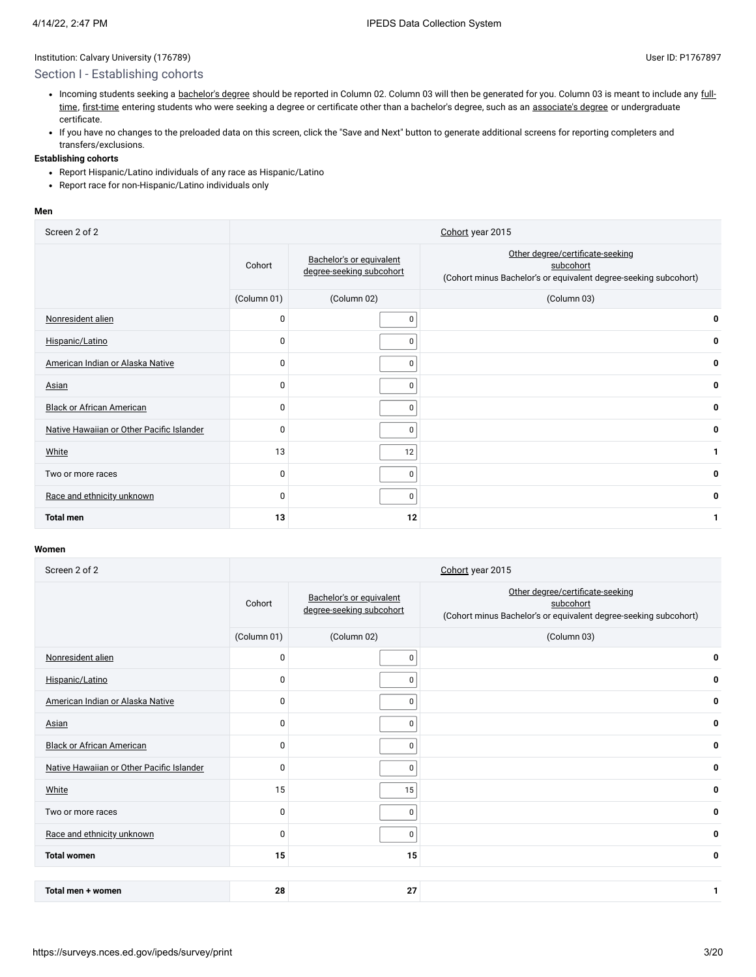### Section I - Establishing cohorts

- Incoming students seeking a [bachelor's](javascript:openglossary(77)) degree [should be reported in Column 02.](javascript:openglossary(259)) Column 03 will then be generated for you. Column 03 is meant to include any fulltime, [first-time](javascript:openglossary(241)) entering students who were seeking a degree or certificate other than a bachelor's degree, such as an [associate's](javascript:openglossary(55)) degree or undergraduate certificate.
- If you have no changes to the preloaded data on this screen, click the "Save and Next" button to generate additional screens for reporting completers and transfers/exclusions.

### **Establishing cohorts**

- Report Hispanic/Latino individuals of any race as Hispanic/Latino
- Report race for non-Hispanic/Latino individuals only

#### **Men**

| Screen 2 of 2                             |             |                                                      | Cohort year 2015                                                                                                  |
|-------------------------------------------|-------------|------------------------------------------------------|-------------------------------------------------------------------------------------------------------------------|
|                                           | Cohort      | Bachelor's or equivalent<br>degree-seeking subcohort | Other degree/certificate-seeking<br>subcohort<br>(Cohort minus Bachelor's or equivalent degree-seeking subcohort) |
|                                           | (Column 01) | (Column 02)                                          | (Column 03)                                                                                                       |
| Nonresident alien                         | $\mathbf 0$ | 0                                                    | 0                                                                                                                 |
| Hispanic/Latino                           | $\mathbf 0$ | 0                                                    | 0                                                                                                                 |
| American Indian or Alaska Native          | $\mathbf 0$ | 0                                                    | 0                                                                                                                 |
| <b>Asian</b>                              | $\mathbf 0$ | 0                                                    | 0                                                                                                                 |
| <b>Black or African American</b>          | $\Omega$    | $\Omega$                                             | 0                                                                                                                 |
| Native Hawaiian or Other Pacific Islander | $\mathbf 0$ | 0                                                    | 0                                                                                                                 |
| White                                     | 13          | 12                                                   | 1                                                                                                                 |
| Two or more races                         | $\mathbf 0$ | 0                                                    | 0                                                                                                                 |
| Race and ethnicity unknown                | $\Omega$    | 0                                                    | 0                                                                                                                 |
| <b>Total men</b>                          | 13          | 12                                                   | 1                                                                                                                 |

| Screen 2 of 2                             |             |                                                      | Cohort year 2015                                                                                                  |
|-------------------------------------------|-------------|------------------------------------------------------|-------------------------------------------------------------------------------------------------------------------|
|                                           | Cohort      | Bachelor's or equivalent<br>degree-seeking subcohort | Other degree/certificate-seeking<br>subcohort<br>(Cohort minus Bachelor's or equivalent degree-seeking subcohort) |
|                                           | (Column 01) | (Column 02)                                          | (Column 03)                                                                                                       |
| Nonresident alien                         | $\mathbf 0$ | $\Omega$                                             | 0                                                                                                                 |
| Hispanic/Latino                           | $\Omega$    | $\mathbf 0$                                          | 0                                                                                                                 |
| American Indian or Alaska Native          | $\Omega$    | $\Omega$                                             | 0                                                                                                                 |
| Asian                                     | 0           | $\mathbf 0$                                          | 0                                                                                                                 |
| <b>Black or African American</b>          | 0           | $\mathbf 0$                                          | 0                                                                                                                 |
| Native Hawaiian or Other Pacific Islander | 0           | $\mathbf 0$                                          | 0                                                                                                                 |
| White                                     | 15          | 15                                                   | 0                                                                                                                 |
| Two or more races                         | 0           | $\mathbf 0$                                          | 0                                                                                                                 |
| Race and ethnicity unknown                | $\Omega$    | $\mathbf 0$                                          | 0                                                                                                                 |
| <b>Total women</b>                        | 15          | 15                                                   | 0                                                                                                                 |
|                                           |             |                                                      |                                                                                                                   |
| Total men + women                         | 28          | 27                                                   | 1                                                                                                                 |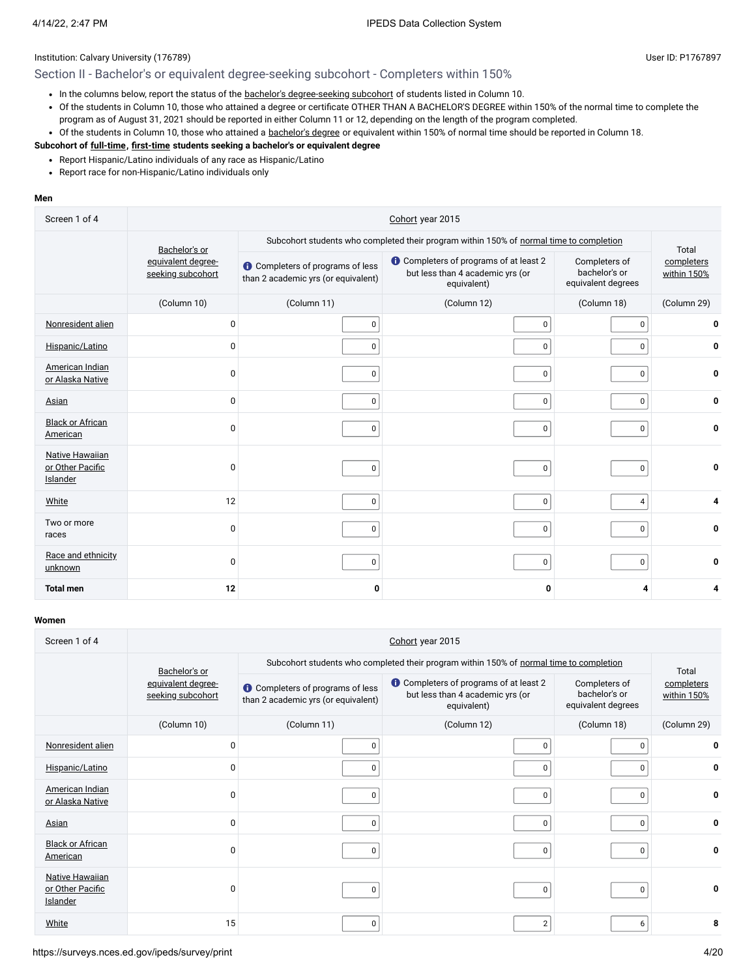## Section II - Bachelor's or equivalent degree-seeking subcohort - Completers within 150%

- In the columns below, report the status of the bachelor's [degree-seeking](javascript:openglossary(79)) subcohort of students listed in Column 10.
- Of the students in Column 10, those who attained a degree or certificate OTHER THAN A BACHELOR'S DEGREE within 150% of the normal time to complete the program as of August 31, 2021 should be reported in either Column 11 or 12, depending on the length of the program completed.
- Of the students in Column 10, those who attained a [bachelor's](javascript:openglossary(77)) degree or equivalent within 150% of normal time should be reported in Column 18.

#### **Subcohort of [full-time](javascript:openglossary(259)), [first-time](javascript:openglossary(241)) students seeking a bachelor's or equivalent degree**

- Report Hispanic/Latino individuals of any race as Hispanic/Latino
- Report race for non-Hispanic/Latino individuals only

#### **Men**

| Screen 1 of 4                                          | Cohort year 2015                        |                                                                                         |                                                                                         |                                                      |                                    |  |
|--------------------------------------------------------|-----------------------------------------|-----------------------------------------------------------------------------------------|-----------------------------------------------------------------------------------------|------------------------------------------------------|------------------------------------|--|
|                                                        | Bachelor's or                           | Subcohort students who completed their program within 150% of normal time to completion |                                                                                         |                                                      |                                    |  |
|                                                        | equivalent degree-<br>seeking subcohort | <b>O</b> Completers of programs of less<br>than 2 academic yrs (or equivalent)          | Completers of programs of at least 2<br>but less than 4 academic yrs (or<br>equivalent) | Completers of<br>bachelor's or<br>equivalent degrees | Total<br>completers<br>within 150% |  |
|                                                        | (Column 10)                             | (Column 11)                                                                             | (Column 12)                                                                             | (Column 18)                                          | (Column 29)                        |  |
| Nonresident alien                                      | 0                                       | 0                                                                                       | 0                                                                                       | 0                                                    | 0                                  |  |
| Hispanic/Latino                                        | 0                                       | 0                                                                                       | 0                                                                                       | 0                                                    | 0                                  |  |
| American Indian<br>or Alaska Native                    | $\Omega$                                | $\Omega$                                                                                | 0                                                                                       | 0                                                    | 0                                  |  |
| <b>Asian</b>                                           | 0                                       | $\mathbf 0$                                                                             | 0                                                                                       | 0                                                    | 0                                  |  |
| <b>Black or African</b><br>American                    | 0                                       | 0                                                                                       | 0                                                                                       | 0                                                    | 0                                  |  |
| <b>Native Hawaiian</b><br>or Other Pacific<br>Islander | $\Omega$                                | 0                                                                                       | 0                                                                                       | 0                                                    | 0                                  |  |
| White                                                  | 12                                      | $\pmb{0}$                                                                               | $\pmb{0}$                                                                               | 4                                                    | 4                                  |  |
| Two or more<br>races                                   | $\mathbf 0$                             | $\mathbf 0$                                                                             | 0                                                                                       | 0                                                    | 0                                  |  |
| Race and ethnicity<br>unknown                          | 0                                       | 0                                                                                       | 0                                                                                       | $\pmb{0}$                                            | 0                                  |  |
| <b>Total men</b>                                       | 12                                      | 0                                                                                       | 0                                                                                       | 4                                                    | 4                                  |  |

| Screen 1 of 4                                          | Cohort year 2015                        |                                                                                         |                                                                                                  |                                                      |                                    |  |  |
|--------------------------------------------------------|-----------------------------------------|-----------------------------------------------------------------------------------------|--------------------------------------------------------------------------------------------------|------------------------------------------------------|------------------------------------|--|--|
|                                                        | Bachelor's or                           | Subcohort students who completed their program within 150% of normal time to completion |                                                                                                  |                                                      |                                    |  |  |
|                                                        | equivalent degree-<br>seeking subcohort | <b>O</b> Completers of programs of less<br>than 2 academic yrs (or equivalent)          | <b>O</b> Completers of programs of at least 2<br>but less than 4 academic yrs (or<br>equivalent) | Completers of<br>bachelor's or<br>equivalent degrees | Total<br>completers<br>within 150% |  |  |
|                                                        | (Column 10)                             | (Column 11)                                                                             | (Column 12)                                                                                      | (Column 18)                                          | (Column 29)                        |  |  |
| Nonresident alien                                      | 0                                       | $\Omega$                                                                                | 0                                                                                                | 0                                                    | 0                                  |  |  |
| Hispanic/Latino                                        | 0                                       | 0                                                                                       | 0                                                                                                | 0                                                    | 0                                  |  |  |
| American Indian<br>or Alaska Native                    | 0                                       | $\Omega$                                                                                | 0                                                                                                | 0                                                    | 0                                  |  |  |
| <b>Asian</b>                                           | 0                                       |                                                                                         | 0                                                                                                | $\mathbf 0$                                          | 0                                  |  |  |
| <b>Black or African</b><br>American                    | 0                                       | $\Omega$                                                                                | 0                                                                                                | 0                                                    | 0                                  |  |  |
| <b>Native Hawaiian</b><br>or Other Pacific<br>Islander | O                                       | 0                                                                                       | 0                                                                                                | 0                                                    | 0                                  |  |  |
| White                                                  | 15                                      | $\Omega$                                                                                | $\overline{2}$                                                                                   | 6                                                    | 8                                  |  |  |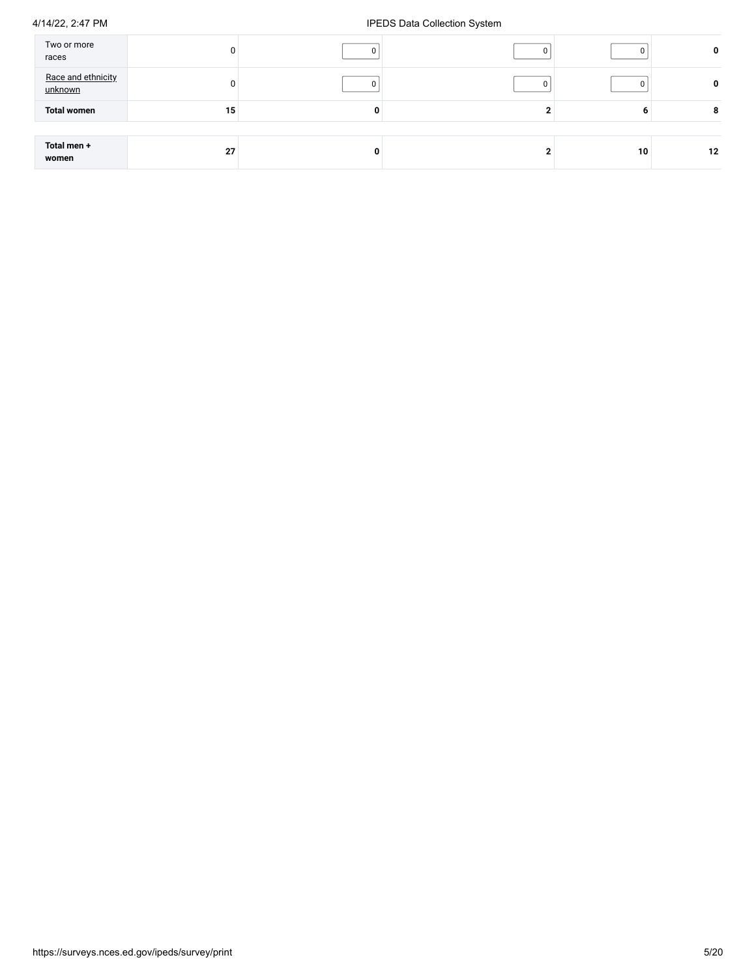| Two or more<br>races          |    |   | 0  | 0  |
|-------------------------------|----|---|----|----|
| Race and ethnicity<br>unknown |    |   | 0  | 0  |
| <b>Total women</b>            | 15 | O | n  | 8  |
|                               |    |   |    |    |
| Total men +<br>women          | 27 | o | 10 | 12 |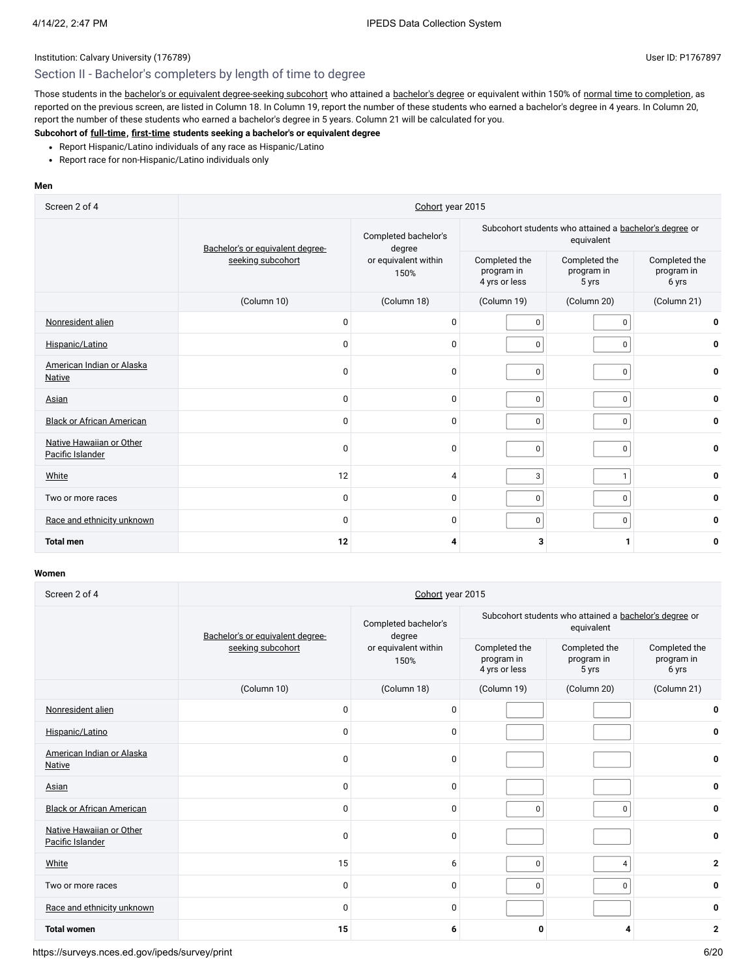## Section II - Bachelor's completers by length of time to degree

Those students in the bachelor's or equivalent [degree-seeking](javascript:openglossary(79)) subcohort who attained a [bachelor's](javascript:openglossary(77)) degree or equivalent within 150% of normal time to [completion,](javascript:openglossary(421)) as reported on the previous screen, are listed in Column 18. In Column 19, report the number of these students who earned a bachelor's degree in 4 years. In Column 20, report the number of these students who earned a bachelor's degree in 5 years. Column 21 will be calculated for you.

## **Subcohort of [full-time](javascript:openglossary(259)), [first-time](javascript:openglossary(241)) students seeking a bachelor's or equivalent degree**

- Report Hispanic/Latino individuals of any race as Hispanic/Latino
- Report race for non-Hispanic/Latino individuals only

## **Men**

| Screen 2 of 4                                | Cohort year 2015                 |                                |                                                                      |                                      |                                      |  |  |
|----------------------------------------------|----------------------------------|--------------------------------|----------------------------------------------------------------------|--------------------------------------|--------------------------------------|--|--|
|                                              | Bachelor's or equivalent degree- | Completed bachelor's<br>degree | Subcohort students who attained a bachelor's degree or<br>equivalent |                                      |                                      |  |  |
|                                              | seeking subcohort                | or equivalent within<br>150%   | Completed the<br>program in<br>4 yrs or less                         | Completed the<br>program in<br>5 yrs | Completed the<br>program in<br>6 yrs |  |  |
|                                              | (Column 10)                      | (Column 18)                    | (Column 19)                                                          | (Column 20)                          | (Column 21)                          |  |  |
| Nonresident alien                            | $\Omega$                         | 0                              | 0                                                                    | 0                                    | 0                                    |  |  |
| Hispanic/Latino                              | $\Omega$                         | $\mathbf{0}$                   | $\mathbf 0$                                                          | 0                                    | 0                                    |  |  |
| American Indian or Alaska<br><b>Native</b>   | $\Omega$                         | 0                              | $\mathbf 0$                                                          | $\mathsf 0$                          | 0                                    |  |  |
| Asian                                        | $\Omega$                         | 0                              | $\mathbf 0$                                                          | 0                                    | 0                                    |  |  |
| <b>Black or African American</b>             | 0                                | $\mathbf{0}$                   | $\mathbf 0$                                                          | $\mathbf 0$                          | 0                                    |  |  |
| Native Hawaiian or Other<br>Pacific Islander | $\Omega$                         | 0                              | $\mathbf 0$                                                          | $\mathsf 0$                          | 0                                    |  |  |
| White                                        | 12                               | 4                              | 3                                                                    | $\mathbf{1}$                         | 0                                    |  |  |
| Two or more races                            | $\Omega$                         | 0                              | 0                                                                    | 0                                    | 0                                    |  |  |
| Race and ethnicity unknown                   | $\Omega$                         | 0                              | $\mathbf 0$                                                          | $\mathbf 0$                          | 0                                    |  |  |
| <b>Total men</b>                             | 12                               | 4                              | 3                                                                    | 1                                    | 0                                    |  |  |

#### **Women**

| Screen 2 of 4                                | Cohort year 2015                 |                                |                                                                      |                                      |                                      |  |
|----------------------------------------------|----------------------------------|--------------------------------|----------------------------------------------------------------------|--------------------------------------|--------------------------------------|--|
|                                              | Bachelor's or equivalent degree- | Completed bachelor's<br>degree | Subcohort students who attained a bachelor's degree or<br>equivalent |                                      |                                      |  |
|                                              | seeking subcohort                | or equivalent within<br>150%   | Completed the<br>program in<br>4 yrs or less                         | Completed the<br>program in<br>5 yrs | Completed the<br>program in<br>6 yrs |  |
|                                              | (Column 10)                      | (Column 18)                    | (Column 19)                                                          | (Column 20)                          | (Column 21)                          |  |
| Nonresident alien                            | $\Omega$                         | $\Omega$                       |                                                                      |                                      | 0                                    |  |
| Hispanic/Latino                              | $\mathbf 0$                      | 0                              |                                                                      |                                      | 0                                    |  |
| American Indian or Alaska<br>Native          | $\mathbf 0$                      | 0                              |                                                                      |                                      | 0                                    |  |
| Asian                                        | $\Omega$                         | $\mathbf 0$                    |                                                                      |                                      | 0                                    |  |
| <b>Black or African American</b>             | $\Omega$                         | 0                              | $\mathbf{0}$                                                         | $\pmb{0}$                            | 0                                    |  |
| Native Hawaiian or Other<br>Pacific Islander | $\Omega$                         | 0                              |                                                                      |                                      | $\mathbf{0}$                         |  |
| White                                        | 15                               | 6                              | $\mathbf 0$                                                          | $\overline{4}$                       | $\mathbf{2}$                         |  |
| Two or more races                            | $\mathbf 0$                      | 0                              | $\mathbf 0$                                                          | $\pmb{0}$                            | 0                                    |  |
| Race and ethnicity unknown                   | $\mathbf 0$                      | $\mathbf 0$                    |                                                                      |                                      | 0                                    |  |
| <b>Total women</b>                           | 15                               | 6                              | 0                                                                    | 4                                    | $\mathbf{2}$                         |  |

https://surveys.nces.ed.gov/ipeds/survey/print 6/20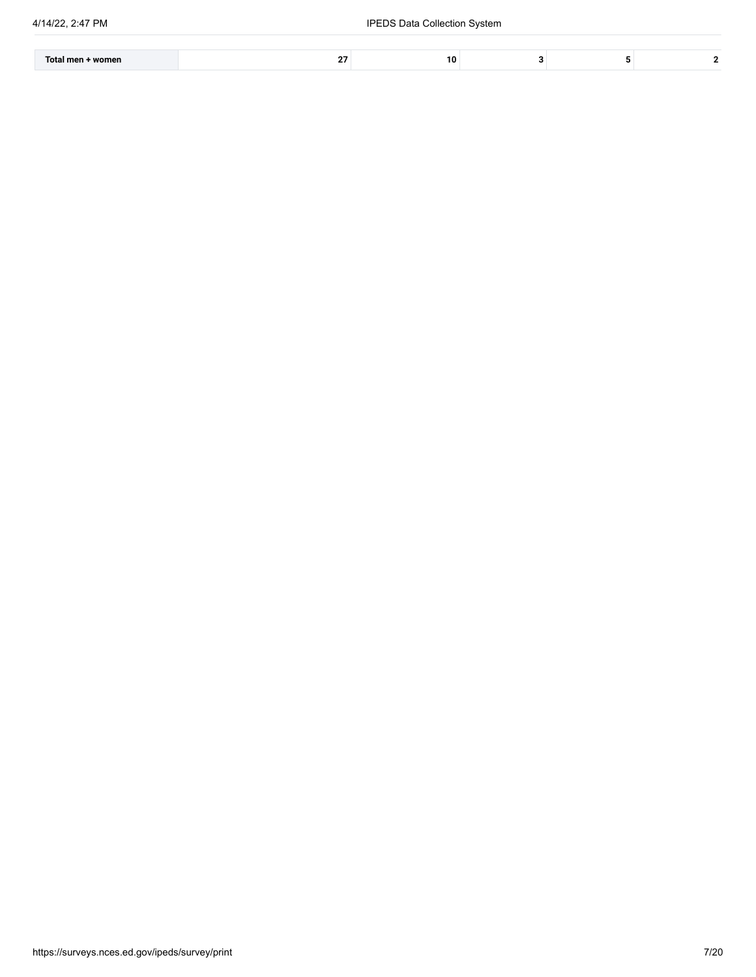| Tota<br>womer<br>mo | 10 |  |  |
|---------------------|----|--|--|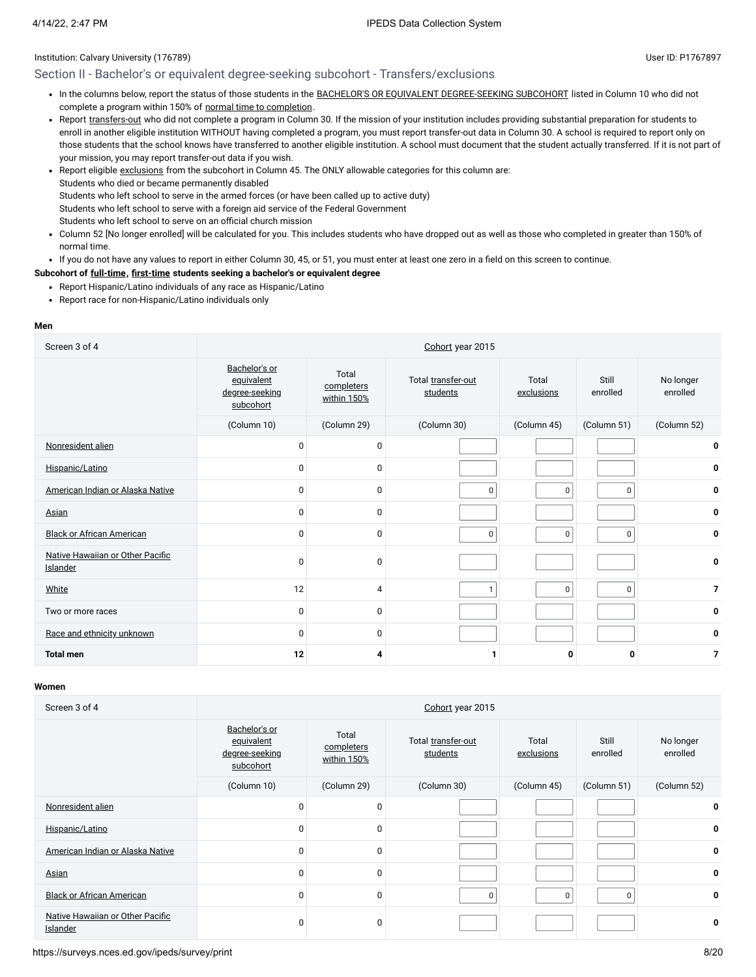## Institution: Calvary University (176789) and the USE of the USE of the USE of the USE of the USE of the USE of the USE of the USE of the USE of the USE of the USE of the USE of the USE of the USE of the USE of the USE of t

## Section II - Bachelor's or equivalent degree-seeking subcohort - Transfers/exclusions

- In the columns below, report the status of those students in the BACHELOR'S OR EQUIVALENT [DEGREE-SEEKING SUBCOHORT](javascript:openglossary(79)) listed in Column 10 who did not complete a program within 150% of normal time to [completion.](javascript:openglossary(421))
- Report [transfers-out](javascript:openglossary(657)) who did not complete a program in Column 30. If the mission of your institution includes providing substantial preparation for students to enroll in another eligible institution WITHOUT having completed a program, you must report transfer-out data in Column 30. A school is required to report only on those students that the school knows have transferred to another eligible institution. A school must document that the student actually transferred. If it is not part of your mission, you may report transfer-out data if you wish.
- Report eligible [exclusions](javascript:openglossary(207)) from the subcohort in Column 45. The ONLY allowable categories for this column are: Students who died or became permanently disabled Students who left school to serve in the armed forces (or have been called up to active duty) Students who left school to serve with a foreign aid service of the Federal Government Students who left school to serve on an official church mission
- Column 52 [No longer enrolled] will be calculated for you. This includes students who have dropped out as well as those who completed in greater than 150% of normal time.
- If you do not have any values to report in either Column 30, 45, or 51, you must enter at least one zero in a field on this screen to continue.

#### **Subcohort of [full-time](javascript:openglossary(259)), [first-time](javascript:openglossary(241)) students seeking a bachelor's or equivalent degree**

- Report Hispanic/Latino individuals of any race as Hispanic/Latino
- Report race for non-Hispanic/Latino individuals only

#### **Men**

| Screen 3 of 4                                | Cohort year 2015                                           |                                    |                                |                     |                   |                       |  |
|----------------------------------------------|------------------------------------------------------------|------------------------------------|--------------------------------|---------------------|-------------------|-----------------------|--|
|                                              | Bachelor's or<br>equivalent<br>degree-seeking<br>subcohort | Total<br>completers<br>within 150% | Total transfer-out<br>students | Total<br>exclusions | Still<br>enrolled | No longer<br>enrolled |  |
|                                              | (Column 10)                                                | (Column 29)                        | (Column 30)                    | (Column 45)         | (Column 51)       | (Column 52)           |  |
| Nonresident alien                            | $\mathbf 0$                                                | $\mathbf 0$                        |                                |                     |                   | 0                     |  |
| Hispanic/Latino                              | $\mathbf 0$                                                | 0                                  |                                |                     |                   | 0                     |  |
| American Indian or Alaska Native             | $\mathbf 0$                                                | $\mathbf 0$                        | 0                              | 0                   | $\mathbf 0$       | 0                     |  |
| Asian                                        | $\mathbf 0$                                                | $\mathbf 0$                        |                                |                     |                   | 0                     |  |
| <b>Black or African American</b>             | $\mathbf 0$                                                | $\mathbf 0$                        | $\mathbf{0}$                   | 0                   | $\mathbf 0$       | 0                     |  |
| Native Hawaiian or Other Pacific<br>Islander | $\mathbf 0$                                                | 0                                  |                                |                     |                   | 0                     |  |
| White                                        | 12                                                         | $\overline{4}$                     | $\mathbf{1}$                   | $\mathbf 0$         | $\mathbf 0$       | $\overline{7}$        |  |
| Two or more races                            | $\mathbf 0$                                                | $\mathbf 0$                        |                                |                     |                   | 0                     |  |
| Race and ethnicity unknown                   | $\Omega$                                                   | $\mathbf 0$                        |                                |                     |                   | 0                     |  |
| <b>Total men</b>                             | 12                                                         | 4                                  |                                | 0                   | 0                 | $\overline{7}$        |  |

#### **Women**

| Screen 3 of 4                                |                                                            |                                                                      | Cohort year 2015 |                     |                   |                       |
|----------------------------------------------|------------------------------------------------------------|----------------------------------------------------------------------|------------------|---------------------|-------------------|-----------------------|
|                                              | Bachelor's or<br>equivalent<br>degree-seeking<br>subcohort | Total<br>Total transfer-out<br>completers<br>students<br>within 150% |                  | Total<br>exclusions | Still<br>enrolled | No longer<br>enrolled |
|                                              | (Column 10)                                                | (Column 29)                                                          | (Column 30)      | (Column 45)         | (Column 51)       | (Column 52)           |
| Nonresident alien                            | 0                                                          | 0                                                                    |                  |                     |                   | 0                     |
| Hispanic/Latino                              | 0                                                          | 0                                                                    |                  |                     |                   | 0                     |
| American Indian or Alaska Native             | 0                                                          | $\Omega$                                                             |                  |                     |                   | 0                     |
| Asian                                        | 0                                                          | 0                                                                    |                  |                     |                   | 0                     |
| <b>Black or African American</b>             | 0                                                          | 0                                                                    | $\mathbf 0$      | 0                   | $\Omega$          | 0                     |
| Native Hawaiian or Other Pacific<br>Islander | 0                                                          | 0                                                                    |                  |                     |                   | 0                     |

https://surveys.nces.ed.gov/ipeds/survey/print 8/20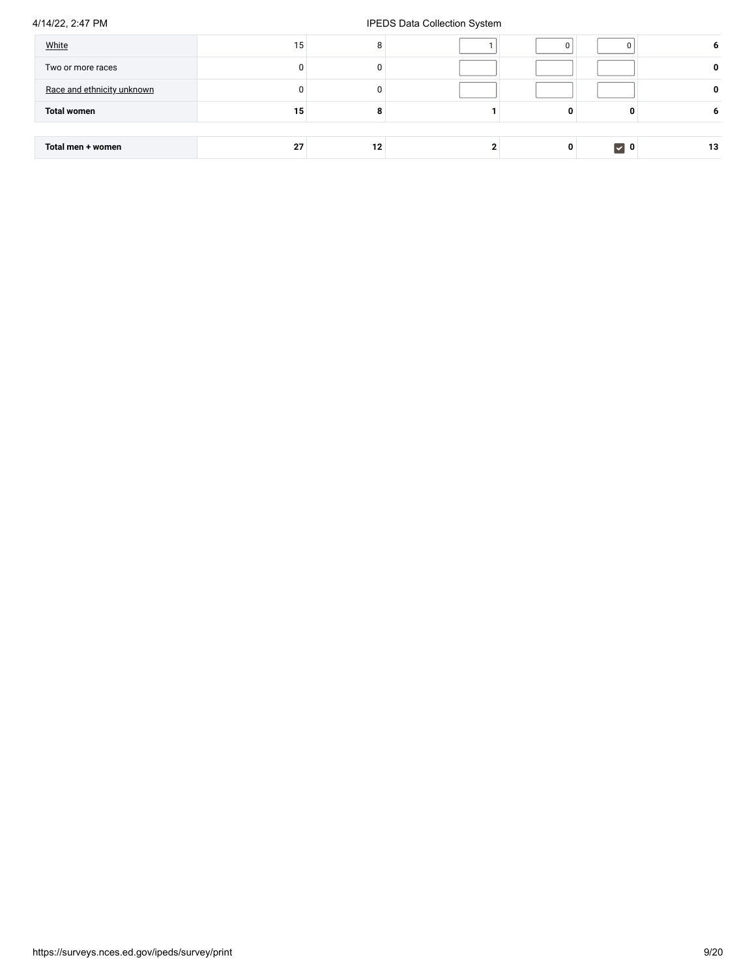| White                      | 15 <sub>1</sub> | 8  |   |                   | o  |
|----------------------------|-----------------|----|---|-------------------|----|
| Two or more races          |                 |    |   |                   | 0  |
| Race and ethnicity unknown |                 |    |   |                   | 0  |
| <b>Total women</b>         | 15              |    | 0 | o                 | O  |
|                            |                 |    |   |                   |    |
| Total men + women          | 27              | 12 | 0 | $\triangledown$ 0 | 13 |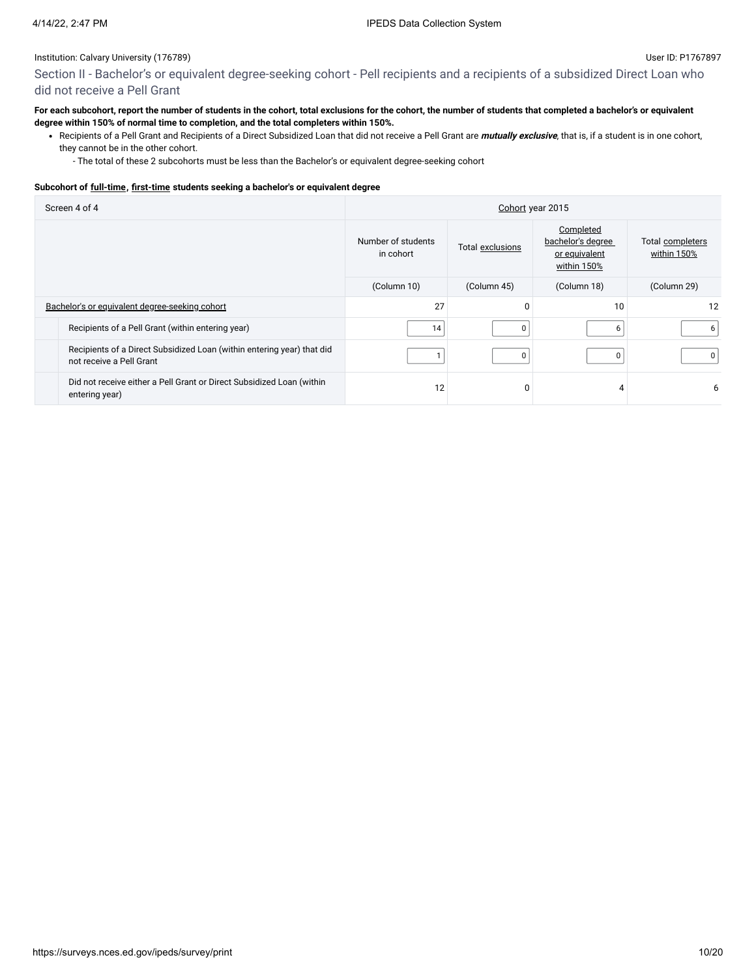Section II - Bachelor's or equivalent degree-seeking cohort - Pell recipients and a recipients of a subsidized Direct Loan who did not receive a Pell Grant

#### **For each subcohort, report the number of students in the cohort, total exclusions for the cohort, the number of students that completed a bachelor's or equivalent degree within 150% of normal time to completion, and the total completers within 150%.**

Recipients of a Pell Grant and Recipients of a Direct Subsidized Loan that did not receive a Pell Grant are **mutually exclusive**, that is, if a student is in one cohort, they cannot be in the other cohort.

- The total of these 2 subcohorts must be less than the Bachelor's or equivalent degree-seeking cohort

#### **Subcohort of [full-time](javascript:openglossary(259)), [first-time](javascript:openglossary(241)) students seeking a bachelor's or equivalent degree**

| Screen 4 of 4                                                                                      | Cohort year 2015                |                  |                                                                |                                 |  |
|----------------------------------------------------------------------------------------------------|---------------------------------|------------------|----------------------------------------------------------------|---------------------------------|--|
|                                                                                                    | Number of students<br>in cohort | Total exclusions | Completed<br>bachelor's degree<br>or equivalent<br>within 150% | Total completers<br>within 150% |  |
|                                                                                                    | (Column 10)                     | (Column 45)      | (Column 18)                                                    | (Column 29)                     |  |
| Bachelor's or equivalent degree-seeking cohort                                                     | 27                              | U                | 10                                                             | 12                              |  |
| Recipients of a Pell Grant (within entering year)                                                  | 14                              | $\Omega$         | 6                                                              | 6                               |  |
| Recipients of a Direct Subsidized Loan (within entering year) that did<br>not receive a Pell Grant |                                 | 0                |                                                                | 0                               |  |
| Did not receive either a Pell Grant or Direct Subsidized Loan (within<br>entering year)            | 12                              |                  |                                                                | 6                               |  |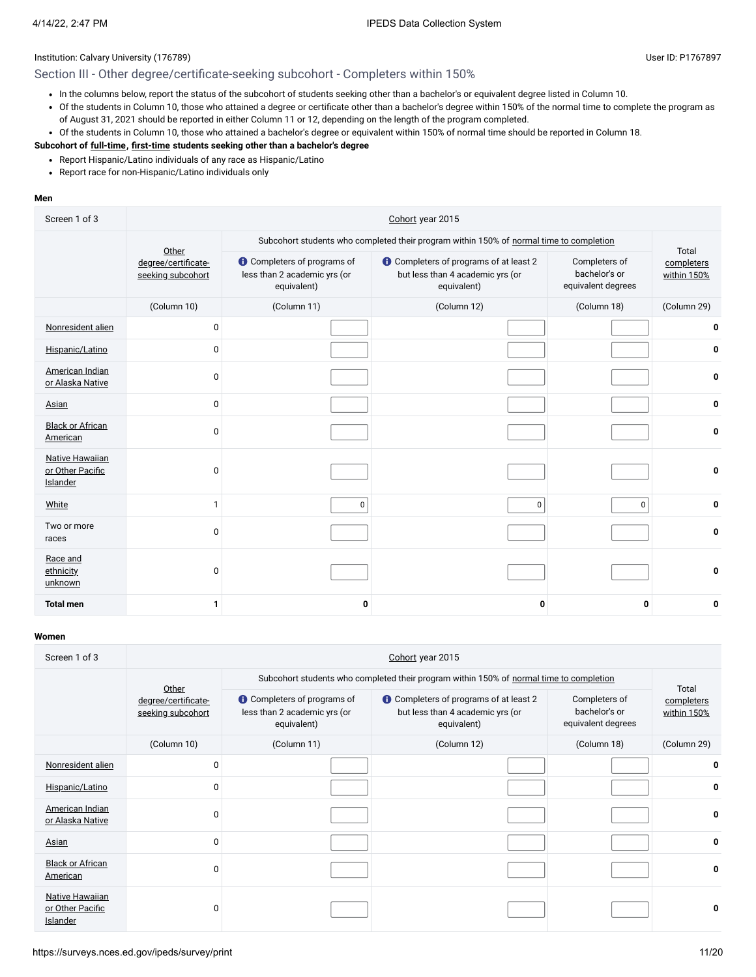## Section III - Other degree/certificate-seeking subcohort - Completers within 150%

- In the columns below, report the status of the subcohort of students seeking other than a bachelor's or equivalent degree listed in Column 10.
- Of the students in Column 10, those who attained a degree or certificate other than a bachelor's degree within 150% of the normal time to complete the program as of August 31, 2021 should be reported in either Column 11 or 12, depending on the length of the program completed.
- Of the students in Column 10, those who attained a bachelor's degree or equivalent within 150% of normal time should be reported in Column 18.

# **Subcohort of [full-time](javascript:openglossary(259)), [first-time](javascript:openglossary(241)) students seeking other than a bachelor's degree**

- Report Hispanic/Latino individuals of any race as Hispanic/Latino
- Report race for non-Hispanic/Latino individuals only

#### **Men**

| Screen 1 of 3                                   | Cohort year 2015                         |                                                                                   |                                                                                         |                                                      |                                    |  |  |  |
|-------------------------------------------------|------------------------------------------|-----------------------------------------------------------------------------------|-----------------------------------------------------------------------------------------|------------------------------------------------------|------------------------------------|--|--|--|
|                                                 | Other                                    |                                                                                   | Subcohort students who completed their program within 150% of normal time to completion |                                                      |                                    |  |  |  |
|                                                 | degree/certificate-<br>seeking subcohort | <b>O</b> Completers of programs of<br>less than 2 academic yrs (or<br>equivalent) | Completers of programs of at least 2<br>but less than 4 academic yrs (or<br>equivalent) | Completers of<br>bachelor's or<br>equivalent degrees | Total<br>completers<br>within 150% |  |  |  |
|                                                 | (Column 10)                              | (Column 11)                                                                       | (Column 12)                                                                             | (Column 18)                                          | (Column 29)                        |  |  |  |
| Nonresident alien                               | $\mathbf{0}$                             |                                                                                   |                                                                                         |                                                      | 0                                  |  |  |  |
| Hispanic/Latino                                 | $\Omega$                                 |                                                                                   |                                                                                         |                                                      | 0                                  |  |  |  |
| American Indian<br>or Alaska Native             | $\Omega$                                 |                                                                                   |                                                                                         |                                                      | 0                                  |  |  |  |
| Asian                                           | $\Omega$                                 |                                                                                   |                                                                                         |                                                      | 0                                  |  |  |  |
| <b>Black or African</b><br>American             | $\mathbf{0}$                             |                                                                                   |                                                                                         |                                                      | 0                                  |  |  |  |
| Native Hawaiian<br>or Other Pacific<br>Islander | $\mathbf{0}$                             |                                                                                   |                                                                                         |                                                      | 0                                  |  |  |  |
| White                                           | $\mathbf{1}$                             | $\pmb{0}$                                                                         | 0                                                                                       | $\mathbf 0$                                          | 0                                  |  |  |  |
| Two or more<br>races                            | $\mathbf{0}$                             |                                                                                   |                                                                                         |                                                      | 0                                  |  |  |  |
| Race and<br>ethnicity<br>unknown                | $\Omega$                                 |                                                                                   |                                                                                         |                                                      | 0                                  |  |  |  |
| <b>Total men</b>                                | 1                                        | 0                                                                                 | 0                                                                                       | 0                                                    | 0                                  |  |  |  |

| Screen 1 of 3                                          | Cohort year 2015                         |                                                                                   |                                                                                                  |                                                      |                           |  |  |  |
|--------------------------------------------------------|------------------------------------------|-----------------------------------------------------------------------------------|--------------------------------------------------------------------------------------------------|------------------------------------------------------|---------------------------|--|--|--|
|                                                        | Other                                    |                                                                                   | Subcohort students who completed their program within 150% of normal time to completion          |                                                      | Total                     |  |  |  |
|                                                        | degree/certificate-<br>seeking subcohort | <b>O</b> Completers of programs of<br>less than 2 academic yrs (or<br>equivalent) | <b>O</b> Completers of programs of at least 2<br>but less than 4 academic yrs (or<br>equivalent) | Completers of<br>bachelor's or<br>equivalent degrees | completers<br>within 150% |  |  |  |
|                                                        | (Column 10)                              | (Column 11)                                                                       | (Column 12)                                                                                      | (Column 18)                                          | (Column 29)               |  |  |  |
| Nonresident alien                                      | $\mathbf{0}$                             |                                                                                   |                                                                                                  |                                                      | 0                         |  |  |  |
| Hispanic/Latino                                        | $\Omega$                                 |                                                                                   |                                                                                                  |                                                      | 0                         |  |  |  |
| American Indian<br>or Alaska Native                    | $\Omega$                                 |                                                                                   |                                                                                                  |                                                      | 0                         |  |  |  |
| <b>Asian</b>                                           | 0                                        |                                                                                   |                                                                                                  |                                                      | 0                         |  |  |  |
| <b>Black or African</b><br>American                    | $\Omega$                                 |                                                                                   |                                                                                                  |                                                      | 0                         |  |  |  |
| <b>Native Hawaiian</b><br>or Other Pacific<br>Islander | $\Omega$                                 |                                                                                   |                                                                                                  |                                                      | 0                         |  |  |  |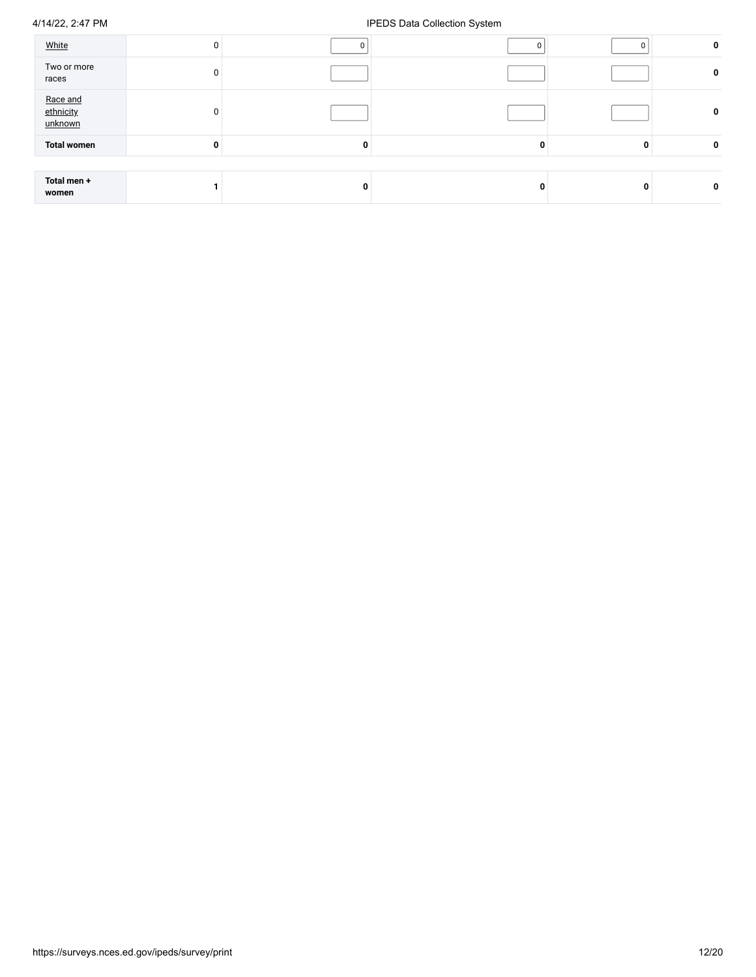| White                            | $\mathbf{0}$ |              |   |   | 0           |
|----------------------------------|--------------|--------------|---|---|-------------|
| Two or more<br>races             | 0            |              |   |   | 0           |
| Race and<br>ethnicity<br>unknown | $\Omega$     |              |   |   | 0           |
| <b>Total women</b>               | 0            | $\mathbf{0}$ | 0 | 0 | $\mathbf 0$ |
|                                  |              |              |   |   |             |
| Total men +<br>women             |              | 0            | 0 | 0 | $\mathbf 0$ |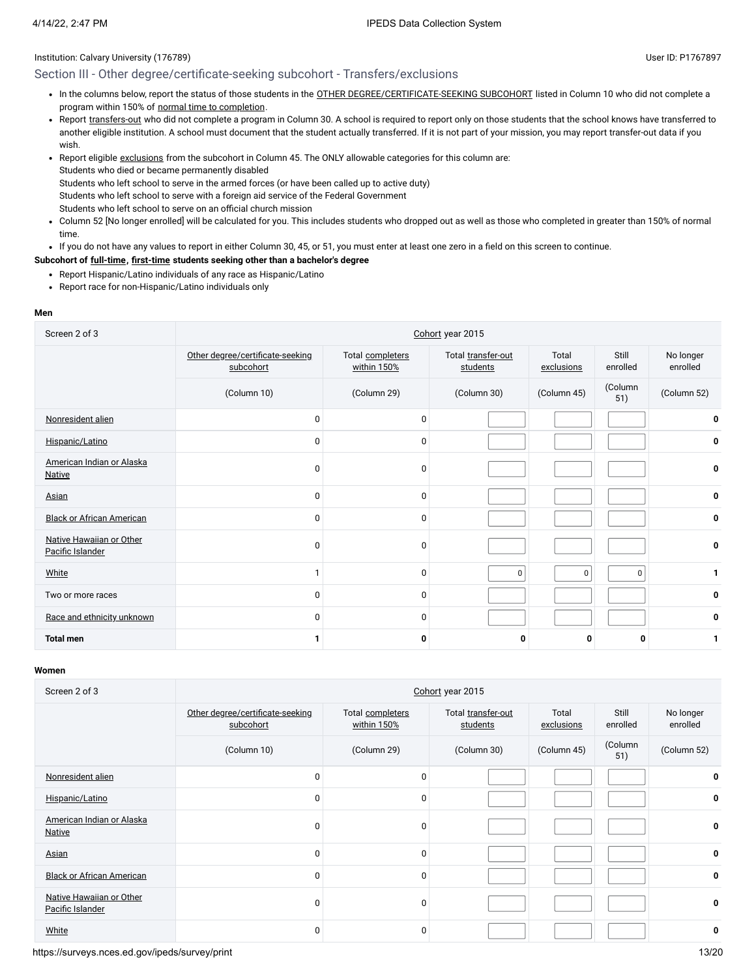## Section III - Other degree/certificate-seeking subcohort - Transfers/exclusions

- In the columns below, report the status of those students in the OTHER [DEGREE/CERTIFICATE-SEEKING SUBCOHORT](javascript:openglossary(441)) listed in Column 10 who did not complete a program within 150% of normal time to [completion](javascript:openglossary(421)).
- Report [transfers-out](javascript:openglossary(657)) who did not complete a program in Column 30. A school is required to report only on those students that the school knows have transferred to another eligible institution. A school must document that the student actually transferred. If it is not part of your mission, you may report transfer-out data if you wish.
- Report eligible [exclusions](javascript:openglossary(207)) from the subcohort in Column 45. The ONLY allowable categories for this column are: Students who died or became permanently disabled
- Students who left school to serve in the armed forces (or have been called up to active duty)
- Students who left school to serve with a foreign aid service of the Federal Government
- Students who left school to serve on an official church mission
- Column 52 [No longer enrolled] will be calculated for you. This includes students who dropped out as well as those who completed in greater than 150% of normal time.
- If you do not have any values to report in either Column 30, 45, or 51, you must enter at least one zero in a field on this screen to continue.

## **Subcohort of [full-time](javascript:openglossary(259)), [first-time](javascript:openglossary(241)) students seeking other than a bachelor's degree**

- Report Hispanic/Latino individuals of any race as Hispanic/Latino
- Report race for non-Hispanic/Latino individuals only

#### **Men**

| Screen 2 of 3                                | Cohort year 2015                              |                                 |                                |                     |                   |                       |
|----------------------------------------------|-----------------------------------------------|---------------------------------|--------------------------------|---------------------|-------------------|-----------------------|
|                                              | Other degree/certificate-seeking<br>subcohort | Total completers<br>within 150% | Total transfer-out<br>students | Total<br>exclusions | Still<br>enrolled | No longer<br>enrolled |
|                                              | (Column 10)                                   | (Column 29)                     | (Column 30)                    | (Column 45)         | (Column<br>51)    | (Column 52)           |
| Nonresident alien                            | 0                                             | 0                               |                                |                     |                   | 0                     |
| Hispanic/Latino                              | 0                                             | $\mathbf 0$                     |                                |                     |                   | 0                     |
| American Indian or Alaska<br><b>Native</b>   | 0                                             | $\mathbf 0$                     |                                |                     |                   | 0                     |
| Asian                                        | 0                                             | $\mathbf 0$                     |                                |                     |                   | 0                     |
| <b>Black or African American</b>             | 0                                             | $\mathbf 0$                     |                                |                     |                   | 0                     |
| Native Hawaiian or Other<br>Pacific Islander | 0                                             | 0                               |                                |                     |                   | 0                     |
| White                                        | $\mathbf{1}$                                  | 0                               | $\mathbf 0$                    | $\pmb{0}$           | $\Omega$          | 1                     |
| Two or more races                            | 0                                             | 0                               |                                |                     |                   | 0                     |
| Race and ethnicity unknown                   | 0                                             | 0                               |                                |                     |                   | 0                     |
| <b>Total men</b>                             | 1                                             | 0                               | 0                              | 0                   | 0                 | 1                     |

#### **Women**

| Screen 2 of 3                                |                                               | Cohort year 2015                |                                |                     |                   |                       |  |
|----------------------------------------------|-----------------------------------------------|---------------------------------|--------------------------------|---------------------|-------------------|-----------------------|--|
|                                              | Other degree/certificate-seeking<br>subcohort | Total completers<br>within 150% | Total transfer-out<br>students | Total<br>exclusions | Still<br>enrolled | No longer<br>enrolled |  |
|                                              | (Column 10)                                   | (Column 29)                     | (Column 30)                    | (Column 45)         | (Column<br>51)    | (Column 52)           |  |
| Nonresident alien                            | $\mathbf 0$                                   | 0                               |                                |                     |                   | 0                     |  |
| Hispanic/Latino                              | $\mathbf 0$                                   | 0                               |                                |                     |                   | 0                     |  |
| American Indian or Alaska<br><b>Native</b>   | $\mathbf 0$                                   | $\mathbf 0$                     |                                |                     |                   | 0                     |  |
| Asian                                        | $\mathbf 0$                                   | 0                               |                                |                     |                   | 0                     |  |
| <b>Black or African American</b>             | $\mathbf 0$                                   | 0                               |                                |                     |                   | 0                     |  |
| Native Hawaiian or Other<br>Pacific Islander | $\mathbf 0$                                   | 0                               |                                |                     |                   | 0                     |  |
| White                                        | $\mathbf 0$                                   | 0                               |                                |                     |                   | 0                     |  |

https://surveys.nces.ed.gov/ipeds/survey/print 13/20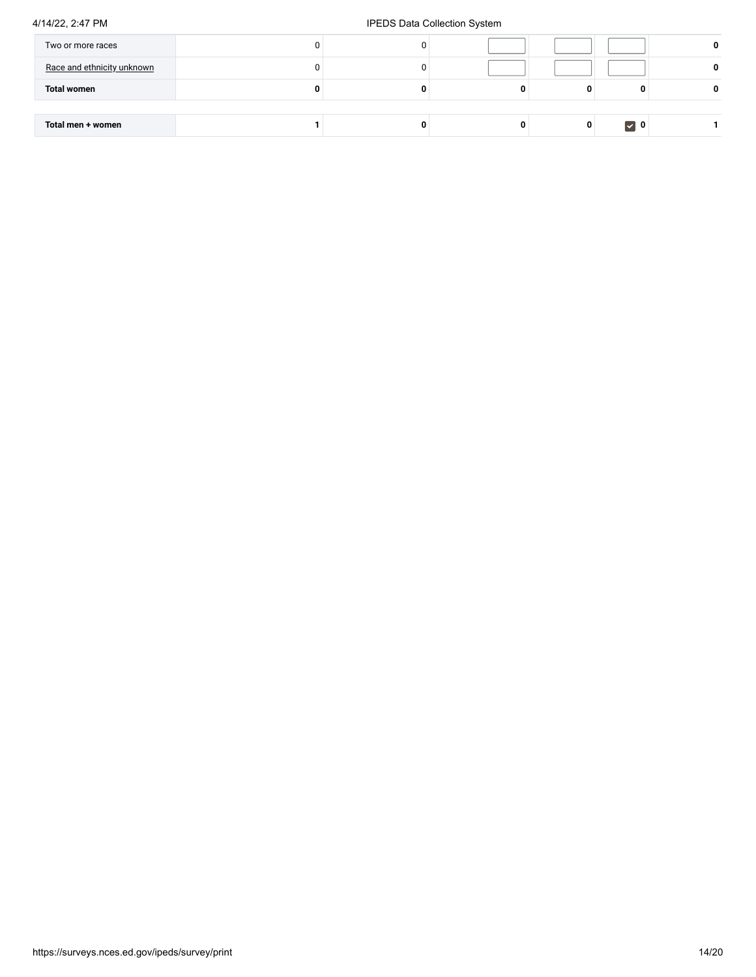| Two or more races          |   |  |          | 0 |
|----------------------------|---|--|----------|---|
| Race and ethnicity unknown |   |  |          | 0 |
| <b>Total women</b>         | 0 |  |          | 0 |
|                            |   |  |          |   |
| Total men + women          |   |  | $\vee$ 0 |   |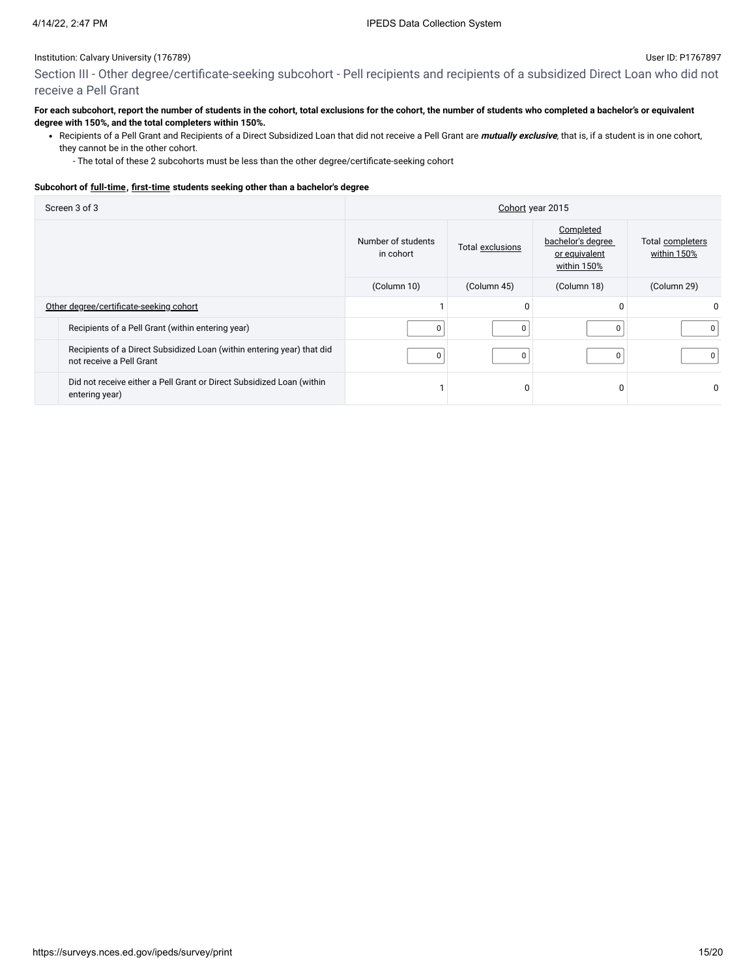Section III - Other degree/certificate-seeking subcohort - Pell recipients and recipients of a subsidized Direct Loan who did not receive a Pell Grant

#### **For each subcohort, report the number of students in the cohort, total exclusions for the cohort, the number of students who completed a bachelor's or equivalent degree with 150%, and the total completers within 150%.**

Recipients of a Pell Grant and Recipients of a Direct Subsidized Loan that did not receive a Pell Grant are **mutually exclusive**, that is, if a student is in one cohort, they cannot be in the other cohort.

- The total of these 2 subcohorts must be less than the other degree/certificate-seeking cohort

#### **Subcohort of [full-time](javascript:openglossary(259)), [first-time](javascript:openglossary(241)) students seeking other than a bachelor's degree**

| Screen 3 of 3                                                                                      | Cohort year 2015                |                  |                                                                |                                 |  |
|----------------------------------------------------------------------------------------------------|---------------------------------|------------------|----------------------------------------------------------------|---------------------------------|--|
|                                                                                                    | Number of students<br>in cohort | Total exclusions | Completed<br>bachelor's degree<br>or equivalent<br>within 150% | Total completers<br>within 150% |  |
|                                                                                                    | (Column 10)                     | (Column 45)      | (Column 18)                                                    | (Column 29)                     |  |
| Other degree/certificate-seeking cohort                                                            |                                 |                  | $\Omega$                                                       |                                 |  |
| Recipients of a Pell Grant (within entering year)                                                  | $\Omega$                        |                  |                                                                | 0                               |  |
| Recipients of a Direct Subsidized Loan (within entering year) that did<br>not receive a Pell Grant | 0                               | n                |                                                                | 0                               |  |
| Did not receive either a Pell Grant or Direct Subsidized Loan (within<br>entering year)            |                                 |                  | $\Omega$                                                       |                                 |  |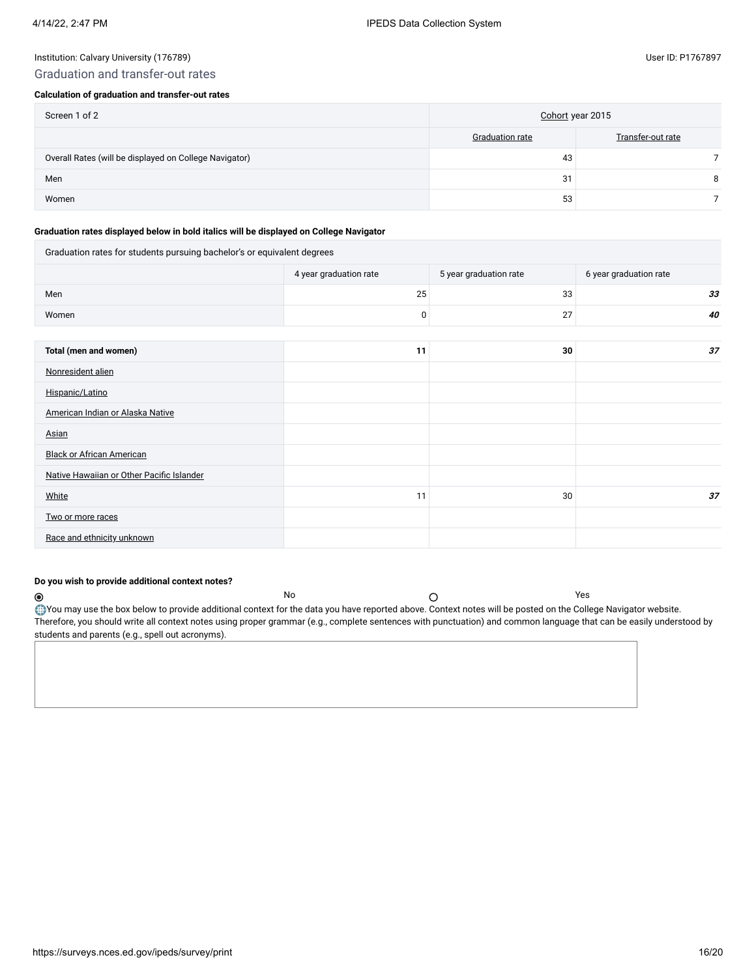## Graduation and transfer-out rates

### **Calculation of graduation and transfer-out rates**

| Screen 1 of 2                                          | Cohort year 2015 |                   |  |
|--------------------------------------------------------|------------------|-------------------|--|
|                                                        | Graduation rate  | Transfer-out rate |  |
| Overall Rates (will be displayed on College Navigator) | 43               |                   |  |
| Men                                                    | 31               | 8                 |  |
| Women                                                  | 53               |                   |  |

#### **Graduation rates displayed below in bold italics will be displayed on College Navigator**

| Graduation rates for students pursuing bachelor's or equivalent degrees |                        |                        |                        |  |  |  |  |
|-------------------------------------------------------------------------|------------------------|------------------------|------------------------|--|--|--|--|
|                                                                         | 4 year graduation rate | 5 year graduation rate | 6 year graduation rate |  |  |  |  |
| Men                                                                     | 25                     | 33                     | 33 <sup>5</sup>        |  |  |  |  |
| Women                                                                   | 0                      | 27                     | 40                     |  |  |  |  |
|                                                                         |                        |                        |                        |  |  |  |  |
| Total (men and women)                                                   | 11                     | 30                     | 37                     |  |  |  |  |
| Nonresident alien                                                       |                        |                        |                        |  |  |  |  |
| Hispanic/Latino                                                         |                        |                        |                        |  |  |  |  |
| American Indian or Alaska Native                                        |                        |                        |                        |  |  |  |  |
| Asian                                                                   |                        |                        |                        |  |  |  |  |
| <b>Black or African American</b>                                        |                        |                        |                        |  |  |  |  |
| Native Hawaiian or Other Pacific Islander                               |                        |                        |                        |  |  |  |  |
| White                                                                   | 11                     | 30                     | 37                     |  |  |  |  |
| Two or more races                                                       |                        |                        |                        |  |  |  |  |
| Race and ethnicity unknown                                              |                        |                        |                        |  |  |  |  |

#### **Do you wish to provide additional context notes?**

 $\circledcirc$ No  $\bigcap$ You may use the box below to provide additional context for the data you have reported above. Context notes will be posted on the College Navigator website. Therefore, you should write all context notes using proper grammar (e.g., complete sentences with punctuation) and common language that can be easily understood by students and parents (e.g., spell out acronyms).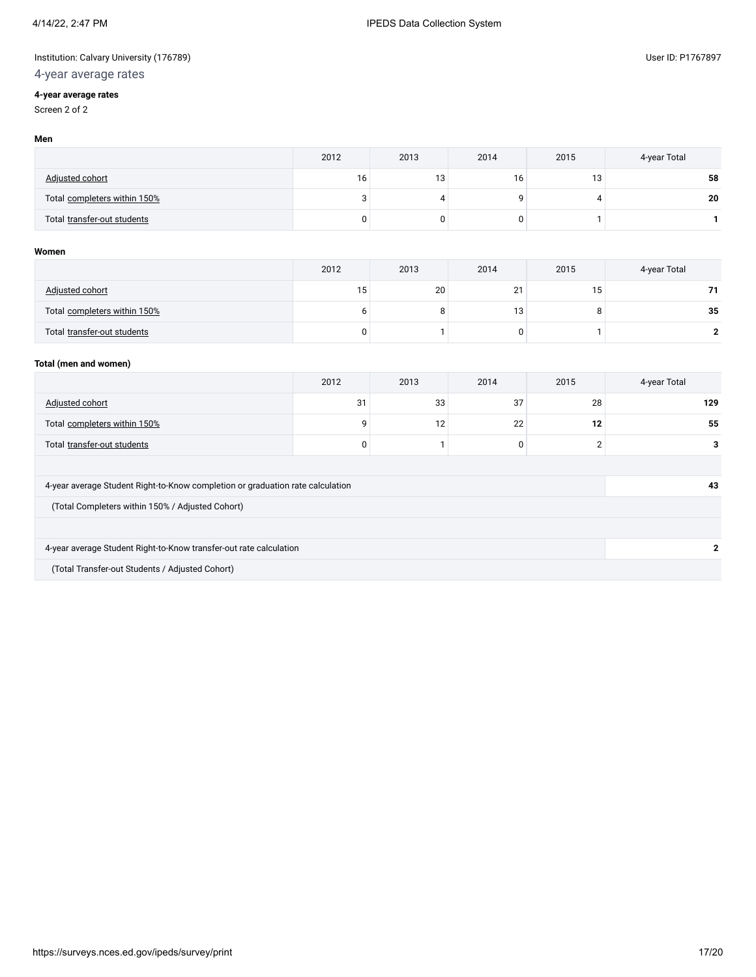# 4-year average rates

## **4-year average rates**

Screen 2 of 2

|                              | 2012 | 2013 | 2014 | 2015            | 4-year Total |
|------------------------------|------|------|------|-----------------|--------------|
| <b>Adjusted cohort</b>       | 16   | 13   | 16   | 13 <sub>1</sub> | 58           |
| Total completers within 150% |      |      |      |                 | 20           |
| Total transfer-out students  |      | 0    |      |                 |              |

#### **Women**

|                              | 2012 | 2013 | 2014                     | 2015 | 4-year Total |
|------------------------------|------|------|--------------------------|------|--------------|
| Adjusted cohort              | 5 ו  | 20   | 2 <sup>1</sup><br>$\sim$ | כ ו  |              |
| Total completers within 150% |      | 8    | 13                       |      | 35           |
| Total transfer-out students  |      |      |                          |      |              |

## **Total (men and women)**

|                                                                                | 2012                | 2013 | 2014 | 2015 | 4-year Total |  |  |
|--------------------------------------------------------------------------------|---------------------|------|------|------|--------------|--|--|
| <b>Adjusted cohort</b>                                                         | 31                  | 33   | 37   | 28   | 129          |  |  |
| Total completers within 150%                                                   | 22<br>12<br>12<br>q |      |      |      |              |  |  |
| C<br>Total transfer-out students<br>$\Omega$<br>0                              |                     |      |      |      | 3            |  |  |
|                                                                                |                     |      |      |      |              |  |  |
| 4-year average Student Right-to-Know completion or graduation rate calculation |                     |      |      |      | 43           |  |  |
| (Total Completers within 150% / Adjusted Cohort)                               |                     |      |      |      |              |  |  |
|                                                                                |                     |      |      |      |              |  |  |
| 4-year average Student Right-to-Know transfer-out rate calculation             |                     |      |      |      | 2            |  |  |
| (Total Transfer-out Students / Adjusted Cohort)                                |                     |      |      |      |              |  |  |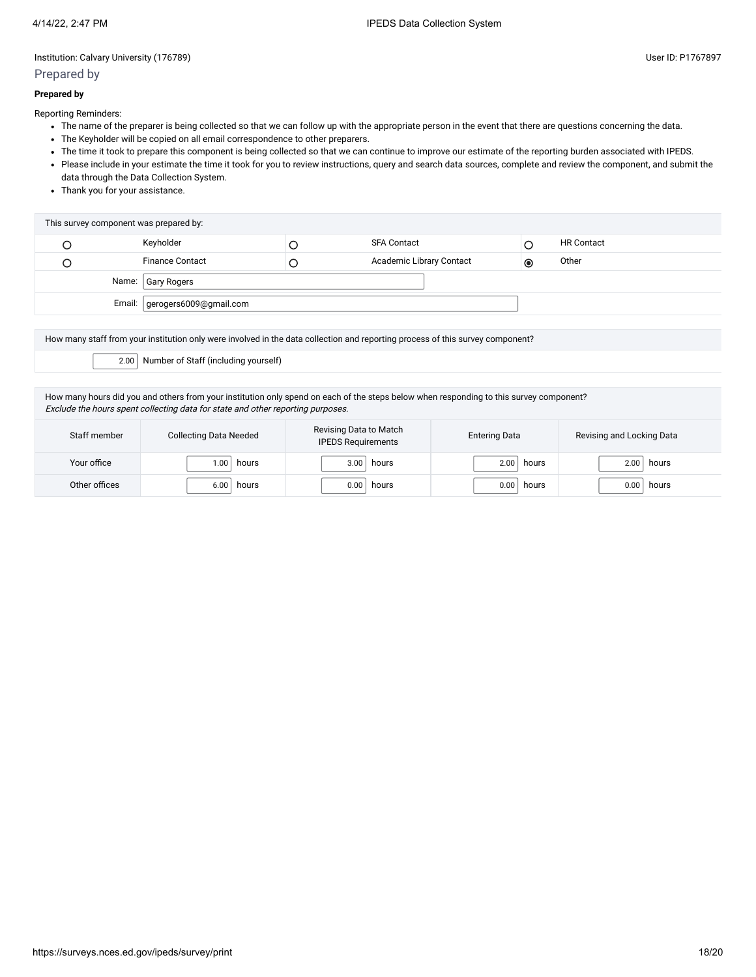## Prepared by

#### **Prepared by**

Reporting Reminders:

- The name of the preparer is being collected so that we can follow up with the appropriate person in the event that there are questions concerning the data.
- The Keyholder will be copied on all email correspondence to other preparers.
- The time it took to prepare this component is being collected so that we can continue to improve our estimate of the reporting burden associated with IPEDS.
- Please include in your estimate the time it took for you to review instructions, query and search data sources, complete and review the component, and submit the data through the Data Collection System.
- Thank you for your assistance.

| This survey component was prepared by: |                                 |  |                          |           |                   |  |
|----------------------------------------|---------------------------------|--|--------------------------|-----------|-------------------|--|
|                                        | Keyholder                       |  | <b>SFA Contact</b>       |           | <b>HR Contact</b> |  |
|                                        | <b>Finance Contact</b>          |  | Academic Library Contact | $\bullet$ | Other             |  |
| Name:   Gary Rogers                    |                                 |  |                          |           |                   |  |
|                                        | Email:   gerogers6009@gmail.com |  |                          |           |                   |  |
|                                        |                                 |  |                          |           |                   |  |

How many staff from your institution only were involved in the data collection and reporting process of this survey component?

2.00 Number of Staff (including yourself)

How many hours did you and others from your institution only spend on each of the steps below when responding to this survey component? Exclude the hours spent collecting data for state and other reporting purposes.

| Staff member  | <b>Collecting Data Needed</b> | Revising Data to Match<br><b>IPEDS Requirements</b> | <b>Entering Data</b> | Revising and Locking Data |
|---------------|-------------------------------|-----------------------------------------------------|----------------------|---------------------------|
| Your office   | 00.1                          | hours                                               | hours                | hours                     |
|               | hours                         | 3.00                                                | 2.00                 | 2.00                      |
| Other offices | 6.00                          | 0.00                                                | 0.00                 | 0.00                      |
|               | hours                         | hours                                               | hours                | hours                     |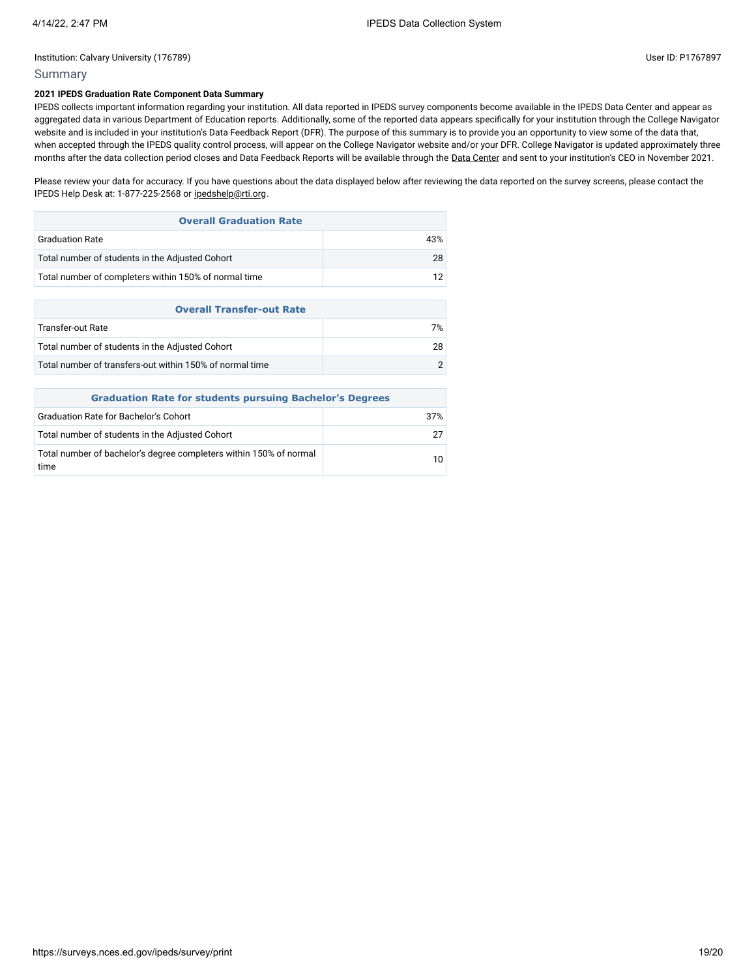10

#### Institution: Calvary University (176789) User ID: P1767897

## Summary

time

## **2021 IPEDS Graduation Rate Component Data Summary**

IPEDS collects important information regarding your institution. All data reported in IPEDS survey components become available in the IPEDS Data Center and appear as aggregated data in various Department of Education reports. Additionally, some of the reported data appears specifically for your institution through the College Navigator website and is included in your institution's Data Feedback Report (DFR). The purpose of this summary is to provide you an opportunity to view some of the data that, when accepted through the IPEDS quality control process, will appear on the College Navigator website and/or your DFR. College Navigator is updated approximately three months after the data collection period closes and Data Feedback Reports will be available through the Data [Center](https://nces.ed.gov/ipeds/use-the-data) and sent to your institution's CEO in November 2021.

Please review your data for accuracy. If you have questions about the data displayed below after reviewing the data reported on the survey screens, please contact the IPEDS Help Desk at: 1-877-225-2568 or [ipedshelp@rti.org.](mailto:ipedshelp@rti.org)

| <b>Overall Graduation Rate</b>                        |     |  |  |  |
|-------------------------------------------------------|-----|--|--|--|
| <b>Graduation Rate</b>                                | 43% |  |  |  |
| Total number of students in the Adjusted Cohort       | 28  |  |  |  |
| Total number of completers within 150% of normal time | 12  |  |  |  |
|                                                       |     |  |  |  |
| <b>Overall Transfer-out Rate</b>                      |     |  |  |  |
| Transfer-out Rate                                     | 7%  |  |  |  |

| Total number of transfers-out within 150% of normal time        |  |  |  |  |
|-----------------------------------------------------------------|--|--|--|--|
| <b>Graduation Rate for students pursuing Bachelor's Degrees</b> |  |  |  |  |
| <b>Graduation Rate for Bachelor's Cohort</b><br>37%             |  |  |  |  |
| Total number of students in the Adjusted Cohort                 |  |  |  |  |

Total number of bachelor's degree completers within 150% of normal

Total number of students in the Adjusted Cohort 28